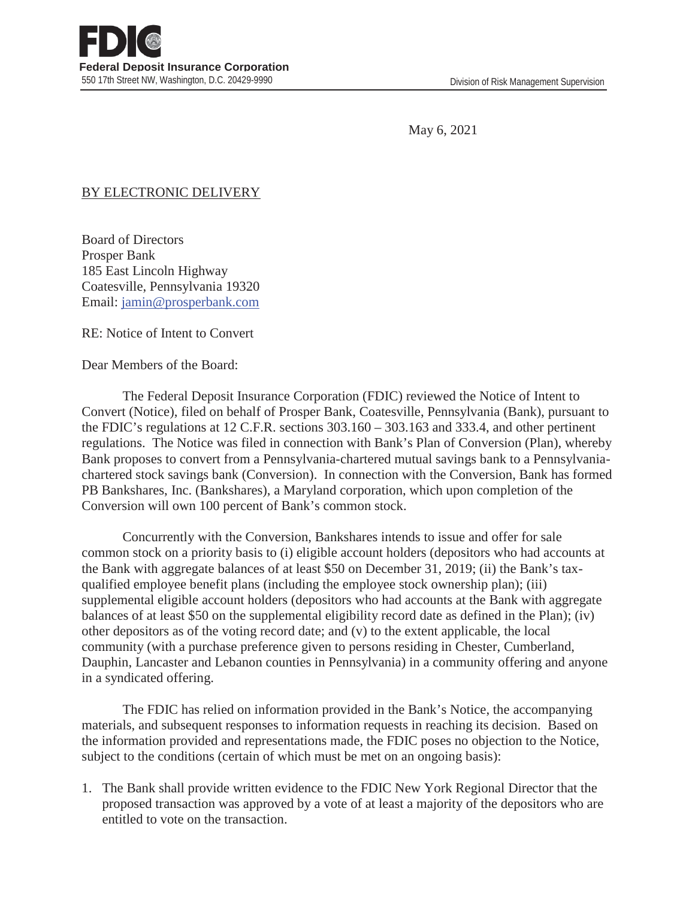May 6, 2021

## BY ELECTRONIC DELIVERY

Board of Directors Prosper Bank 185 East Lincoln Highway Coatesville, Pennsylvania 19320 Email: jamin@prosperbank.com

RE: Notice of Intent to Convert

Dear Members of the Board:

 The Federal Deposit Insurance Corporation (FDIC) reviewed the Notice of Intent to Convert (Notice), filed on behalf of Prosper Bank, Coatesville, Pennsylvania (Bank), pursuant to the FDIC's regulations at 12 C.F.R. sections 303.160 – 303.163 and 333.4, and other pertinent regulations. The Notice was filed in connection with Bank's Plan of Conversion (Plan), whereby Bank proposes to convert from a Pennsylvania-chartered mutual savings bank to a Pennsylvaniachartered stock savings bank (Conversion). In connection with the Conversion, Bank has formed PB Bankshares, Inc. (Bankshares), a Maryland corporation, which upon completion of the Conversion will own 100 percent of Bank's common stock.

 Concurrently with the Conversion, Bankshares intends to issue and offer for sale common stock on a priority basis to (i) eligible account holders (depositors who had accounts at the Bank with aggregate balances of at least \$50 on December 31, 2019; (ii) the Bank's taxqualified employee benefit plans (including the employee stock ownership plan); (iii) supplemental eligible account holders (depositors who had accounts at the Bank with aggregate balances of at least \$50 on the supplemental eligibility record date as defined in the Plan); (iv) other depositors as of the voting record date; and (v) to the extent applicable, the local community (with a purchase preference given to persons residing in Chester, Cumberland, Dauphin, Lancaster and Lebanon counties in Pennsylvania) in a community offering and anyone in a syndicated offering.

 The FDIC has relied on information provided in the Bank's Notice, the accompanying materials, and subsequent responses to information requests in reaching its decision. Based on the information provided and representations made, the FDIC poses no objection to the Notice, subject to the conditions (certain of which must be met on an ongoing basis):

1. The Bank shall provide written evidence to the FDIC New York Regional Director that the proposed transaction was approved by a vote of at least a majority of the depositors who are entitled to vote on the transaction.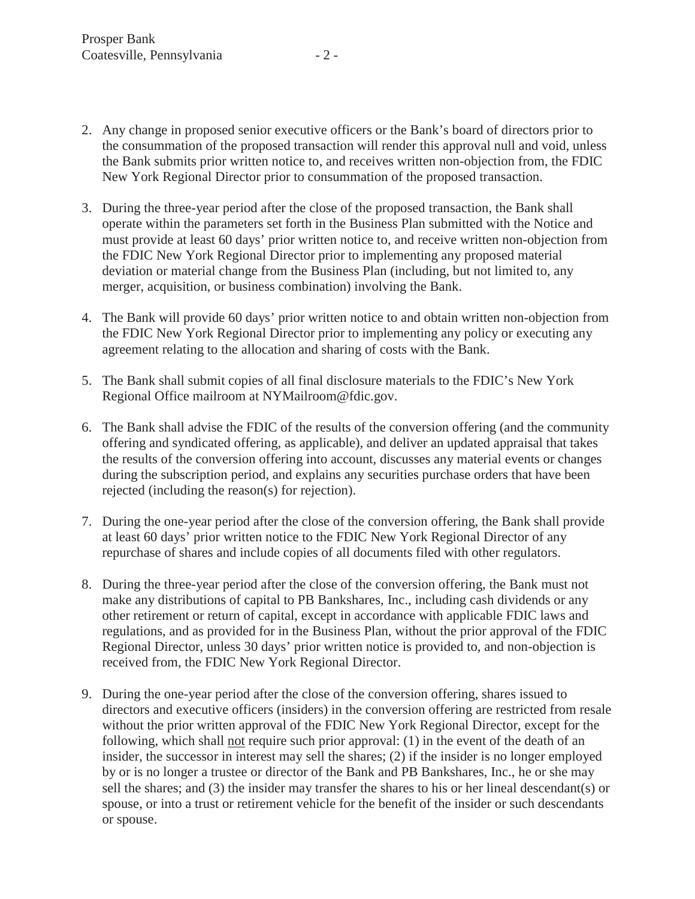- 2. Any change in proposed senior executive officers or the Bank's board of directors prior to the consummation of the proposed transaction will render this approval null and void, unless the Bank submits prior written notice to, and receives written non-objection from, the FDIC New York Regional Director prior to consummation of the proposed transaction.
- 3. During the three-year period after the close of the proposed transaction, the Bank shall operate within the parameters set forth in the Business Plan submitted with the Notice and must provide at least 60 days' prior written notice to, and receive written non-objection from the FDIC New York Regional Director prior to implementing any proposed material deviation or material change from the Business Plan (including, but not limited to, any merger, acquisition, or business combination) involving the Bank.
- 4. The Bank will provide 60 days' prior written notice to and obtain written non-objection from the FDIC New York Regional Director prior to implementing any policy or executing any agreement relating to the allocation and sharing of costs with the Bank.
- 5. The Bank shall submit copies of all final disclosure materials to the FDIC's New York Regional Office mailroom at NYMailroom@fdic.gov.
- 6. The Bank shall advise the FDIC of the results of the conversion offering (and the community offering and syndicated offering, as applicable), and deliver an updated appraisal that takes the results of the conversion offering into account, discusses any material events or changes during the subscription period, and explains any securities purchase orders that have been rejected (including the reason(s) for rejection).
- 7. During the one-year period after the close of the conversion offering, the Bank shall provide at least 60 days' prior written notice to the FDIC New York Regional Director of any repurchase of shares and include copies of all documents filed with other regulators.
- 8. During the three-year period after the close of the conversion offering, the Bank must not make any distributions of capital to PB Bankshares, Inc., including cash dividends or any other retirement or return of capital, except in accordance with applicable FDIC laws and regulations, and as provided for in the Business Plan, without the prior approval of the FDIC Regional Director, unless 30 days' prior written notice is provided to, and non-objection is received from, the FDIC New York Regional Director.
- 9. During the one-year period after the close of the conversion offering, shares issued to directors and executive officers (insiders) in the conversion offering are restricted from resale without the prior written approval of the FDIC New York Regional Director, except for the following, which shall not require such prior approval: (1) in the event of the death of an insider, the successor in interest may sell the shares; (2) if the insider is no longer employed by or is no longer a trustee or director of the Bank and PB Bankshares, Inc., he or she may sell the shares; and (3) the insider may transfer the shares to his or her lineal descendant(s) or spouse, or into a trust or retirement vehicle for the benefit of the insider or such descendants or spouse.